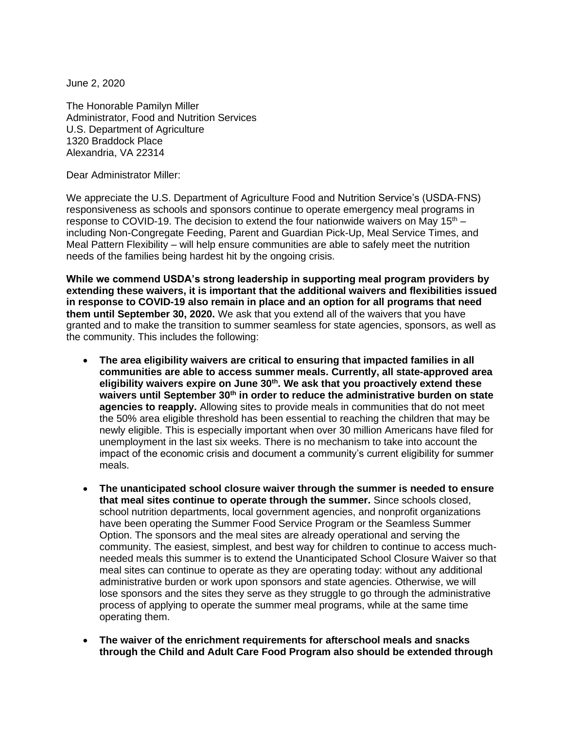June 2, 2020

The Honorable Pamilyn Miller Administrator, Food and Nutrition Services U.S. Department of Agriculture 1320 Braddock Place Alexandria, VA 22314

Dear Administrator Miller:

We appreciate the U.S. Department of Agriculture Food and Nutrition Service's (USDA-FNS) responsiveness as schools and sponsors continue to operate emergency meal programs in response to COVID-19. The decision to extend the four nationwide waivers on May  $15<sup>th</sup>$  – including Non-Congregate Feeding, Parent and Guardian Pick-Up, Meal Service Times, and Meal Pattern Flexibility – will help ensure communities are able to safely meet the nutrition needs of the families being hardest hit by the ongoing crisis.

**While we commend USDA's strong leadership in supporting meal program providers by extending these waivers, it is important that the additional waivers and flexibilities issued in response to COVID-19 also remain in place and an option for all programs that need them until September 30, 2020.** We ask that you extend all of the waivers that you have granted and to make the transition to summer seamless for state agencies, sponsors, as well as the community. This includes the following:

- **The area eligibility waivers are critical to ensuring that impacted families in all communities are able to access summer meals. Currently, all state-approved area eligibility waivers expire on June 30th. We ask that you proactively extend these waivers until September 30th in order to reduce the administrative burden on state agencies to reapply.** Allowing sites to provide meals in communities that do not meet the 50% area eligible threshold has been essential to reaching the children that may be newly eligible. This is especially important when over 30 million Americans have filed for unemployment in the last six weeks. There is no mechanism to take into account the impact of the economic crisis and document a community's current eligibility for summer meals.
- **The unanticipated school closure waiver through the summer is needed to ensure that meal sites continue to operate through the summer.** Since schools closed, school nutrition departments, local government agencies, and nonprofit organizations have been operating the Summer Food Service Program or the Seamless Summer Option. The sponsors and the meal sites are already operational and serving the community. The easiest, simplest, and best way for children to continue to access muchneeded meals this summer is to extend the Unanticipated School Closure Waiver so that meal sites can continue to operate as they are operating today: without any additional administrative burden or work upon sponsors and state agencies. Otherwise, we will lose sponsors and the sites they serve as they struggle to go through the administrative process of applying to operate the summer meal programs, while at the same time operating them.
- **The waiver of the enrichment requirements for afterschool meals and snacks through the Child and Adult Care Food Program also should be extended through**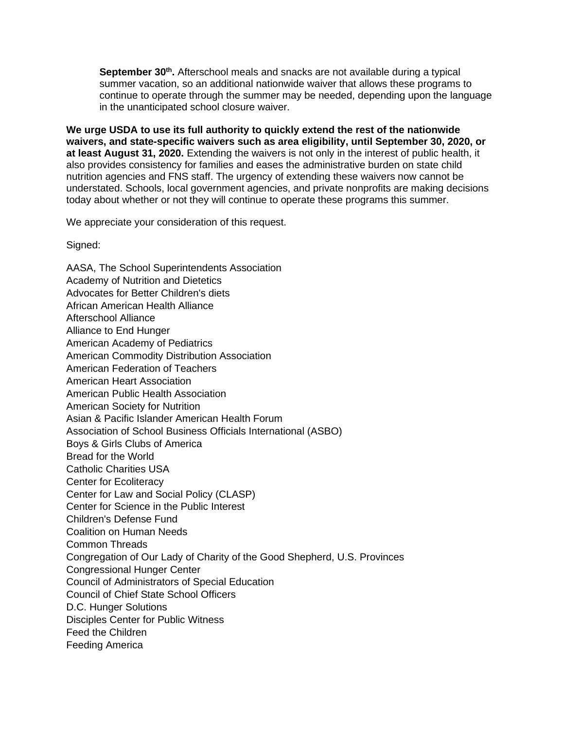September 30<sup>th</sup>. Afterschool meals and snacks are not available during a typical summer vacation, so an additional nationwide waiver that allows these programs to continue to operate through the summer may be needed, depending upon the language in the unanticipated school closure waiver.

**We urge USDA to use its full authority to quickly extend the rest of the nationwide waivers, and state-specific waivers such as area eligibility, until September 30, 2020, or at least August 31, 2020.** Extending the waivers is not only in the interest of public health, it also provides consistency for families and eases the administrative burden on state child nutrition agencies and FNS staff. The urgency of extending these waivers now cannot be understated. Schools, local government agencies, and private nonprofits are making decisions today about whether or not they will continue to operate these programs this summer.

We appreciate your consideration of this request.

Signed:

AASA, The School Superintendents Association Academy of Nutrition and Dietetics Advocates for Better Children's diets African American Health Alliance Afterschool Alliance Alliance to End Hunger American Academy of Pediatrics American Commodity Distribution Association American Federation of Teachers American Heart Association American Public Health Association American Society for Nutrition Asian & Pacific Islander American Health Forum Association of School Business Officials International (ASBO) Boys & Girls Clubs of America Bread for the World Catholic Charities USA Center for Ecoliteracy Center for Law and Social Policy (CLASP) Center for Science in the Public Interest Children's Defense Fund Coalition on Human Needs Common Threads Congregation of Our Lady of Charity of the Good Shepherd, U.S. Provinces Congressional Hunger Center Council of Administrators of Special Education Council of Chief State School Officers D.C. Hunger Solutions Disciples Center for Public Witness Feed the Children Feeding America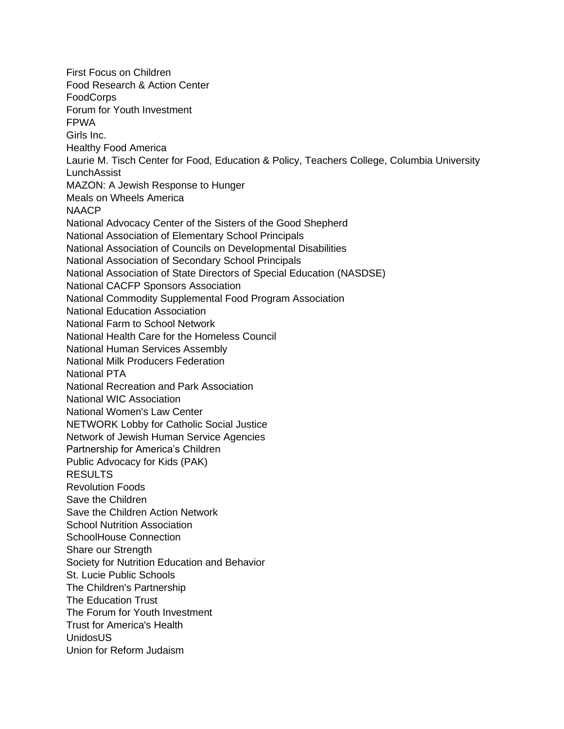First Focus on Children Food Research & Action Center **FoodCorps** Forum for Youth Investment FPWA Girls Inc. Healthy Food America Laurie M. Tisch Center for Food, Education & Policy, Teachers College, Columbia University LunchAssist MAZON: A Jewish Response to Hunger Meals on Wheels America NAACP National Advocacy Center of the Sisters of the Good Shepherd National Association of Elementary School Principals National Association of Councils on Developmental Disabilities National Association of Secondary School Principals National Association of State Directors of Special Education (NASDSE) National CACFP Sponsors Association National Commodity Supplemental Food Program Association National Education Association National Farm to School Network National Health Care for the Homeless Council National Human Services Assembly National Milk Producers Federation National PTA National Recreation and Park Association National WIC Association National Women's Law Center NETWORK Lobby for Catholic Social Justice Network of Jewish Human Service Agencies Partnership for America's Children Public Advocacy for Kids (PAK) RESULTS Revolution Foods Save the Children Save the Children Action Network School Nutrition Association SchoolHouse Connection Share our Strength Society for Nutrition Education and Behavior St. Lucie Public Schools The Children's Partnership The Education Trust The Forum for Youth Investment Trust for America's Health UnidosUS Union for Reform Judaism